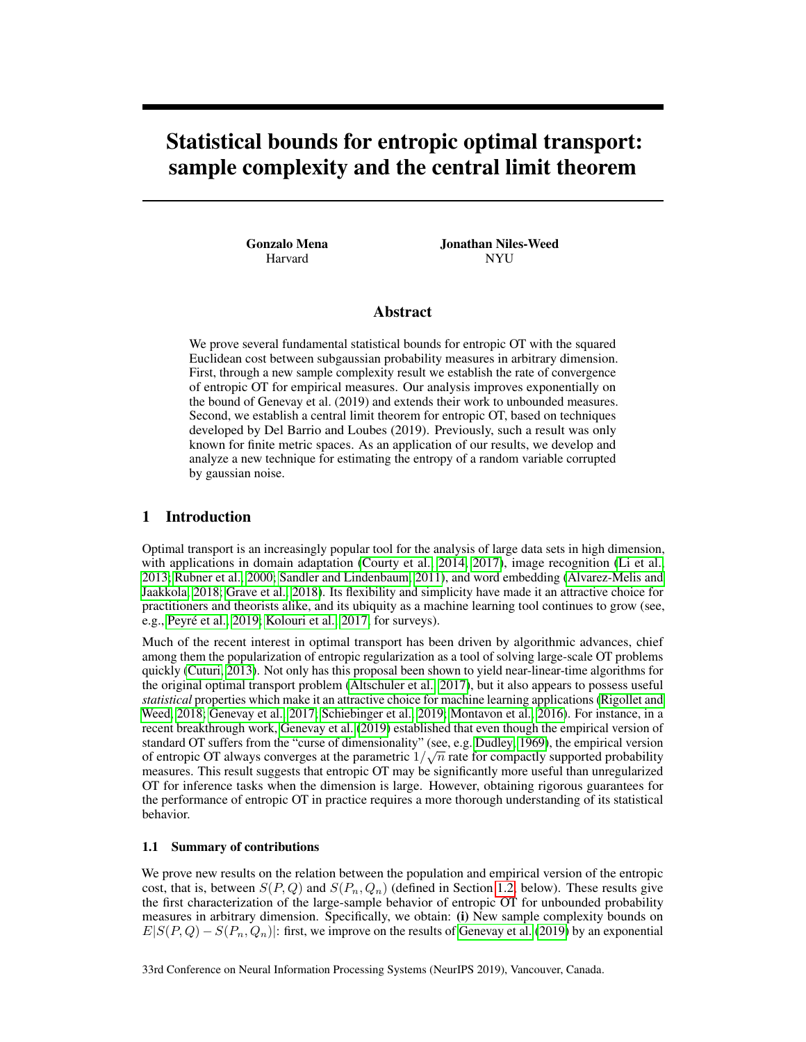# Statistical bounds for entropic optimal transport: sample complexity and the central limit theorem

Gonzalo Mena Harvard

Jonathan Niles-Weed NYU

# Abstract

We prove several fundamental statistical bounds for entropic OT with the squared Euclidean cost between subgaussian probability measures in arbitrary dimension. First, through a new sample complexity result we establish the rate of convergence of entropic OT for empirical measures. Our analysis improves exponentially on the bound of Genevay et al. (2019) and extends their work to unbounded measures. Second, we establish a central limit theorem for entropic OT, based on techniques developed by Del Barrio and Loubes (2019). Previously, such a result was only known for finite metric spaces. As an application of our results, we develop and analyze a new technique for estimating the entropy of a random variable corrupted by gaussian noise.

### 1 Introduction

Optimal transport is an increasingly popular tool for the analysis of large data sets in high dimension, with applications in domain adaptation (Courty et al., 2014, 2017), image recognition (Li et al., 2013; Rubner et al., 2000; Sandler and Lindenbaum, 2011), and word embedding (Alvarez-Melis and Jaakkola, 2018; Grave et al., 2018). Its flexibility and simplicity have made it an attractive choice for practitioners and theorists alike, and its ubiquity as a machine learning tool continues to grow (see, e.g., Peyré et al., 2019; Kolouri et al., 2017, for surveys).

Much of the recent interest in optimal transport has been driven by algorithmic advances, chief among them the popularization of entropic regularization as a tool of solving large-scale OT problems quickly (Cuturi, 2013). Not only has this proposal been shown to yield near-linear-time algorithms for the original optimal transport problem (Altschuler et al., 2017), but it also appears to possess useful *statistical* properties which make it an attractive choice for machine learning applications (Rigollet and Weed, 2018; Genevay et al., 2017; Schiebinger et al., 2019; Montavon et al., 2016). For instance, in a recent breakthrough work, Genevay et al. (2019) established that even though the empirical version of standard OT suffers from the "curse of dimensionality" (see, e.g. Dudley, 1969), the empirical version of entropic OT always converges at the parametric  $1/\sqrt{n}$  rate for compactly supported probability measures. This result suggests that entropic OT may be significantly more useful than unregularized OT for inference tasks when the dimension is large. However, obtaining rigorous guarantees for the performance of entropic OT in practice requires a more thorough understanding of its statistical behavior.

#### 1.1 Summary of contributions

We prove new results on the relation between the population and empirical version of the entropic cost, that is, between  $S(P,Q)$  and  $S(P_n,Q_n)$  (defined in Section 1.2, below). These results give the first characterization of the large-sample behavior of entropic OT for unbounded probability measures in arbitrary dimension. Specifically, we obtain: (i) New sample complexity bounds on  $E[S(P,Q) - S(P_n, Q_n)]$ : first, we improve on the results of Genevay et al. (2019) by an exponential

33rd Conference on Neural Information Processing Systems (NeurIPS 2019), Vancouver, Canada.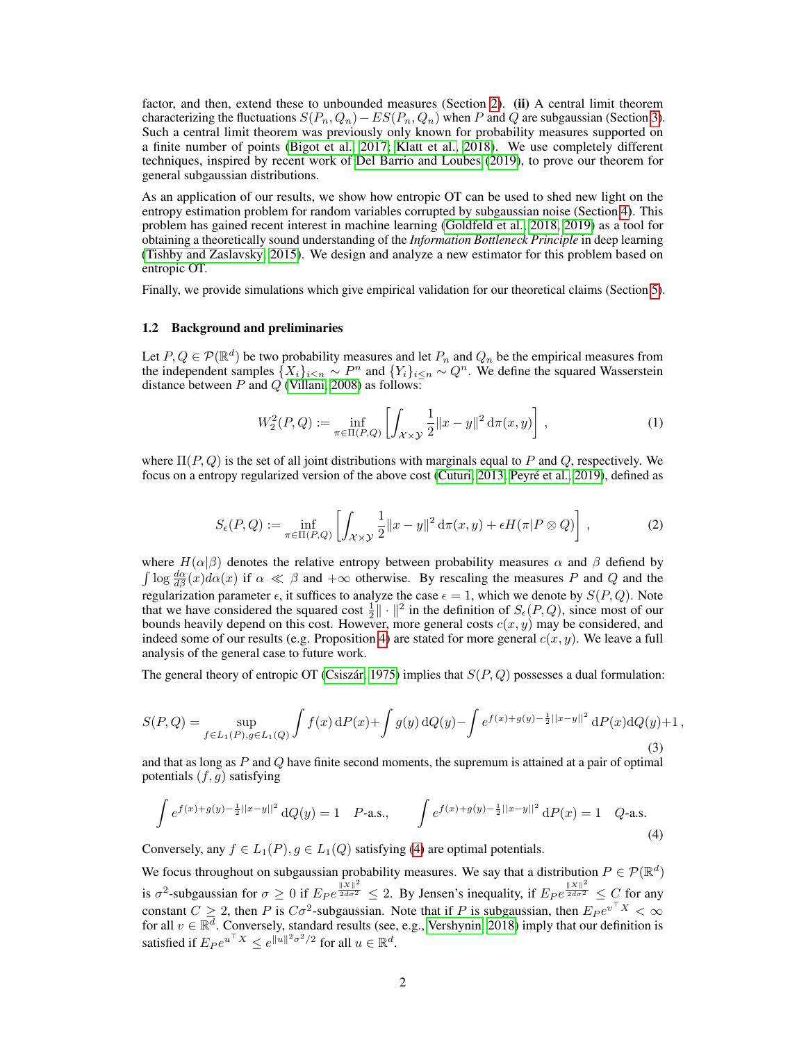factor, and then, extend these to unbounded measures (Section 2). (ii) A central limit theorem characterizing the fluctuations  $S(P_n, Q_n) - ES(P_n, Q_n)$  when P and Q are subgaussian (Section 3). Such a central limit theorem was previously only known for probability measures supported on a finite number of points (Bigot et al., 2017; Klatt et al., 2018). We use completely different techniques, inspired by recent work of Del Barrio and Loubes (2019), to prove our theorem for general subgaussian distributions.

As an application of our results, we show how entropic OT can be used to shed new light on the entropy estimation problem for random variables corrupted by subgaussian noise (Section 4). This problem has gained recent interest in machine learning (Goldfeld et al., 2018, 2019) as a tool for obtaining a theoretically sound understanding of the *Information Bottleneck Principle* in deep learning (Tishby and Zaslavsky, 2015). We design and analyze a new estimator for this problem based on entropic OT.

Finally, we provide simulations which give empirical validation for our theoretical claims (Section 5).

#### 1.2 Background and preliminaries

Let  $P, Q \in \mathcal{P}(\mathbb{R}^d)$  be two probability measures and let  $P_n$  and  $Q_n$  be the empirical measures from the independent samples  $\{X_i\}_{i\leq n} \sim P^n$  and  $\{Y_i\}_{i\leq n} \sim Q^n$ . We define the squared Wasserstein distance between  $P$  and  $Q$  (Villani, 2008) as follows:

$$
W_2^2(P,Q) := \inf_{\pi \in \Pi(P,Q)} \left[ \int_{\mathcal{X} \times \mathcal{Y}} \frac{1}{2} \|x - y\|^2 \, d\pi(x, y) \right],
$$
 (1)

where  $\Pi(P,Q)$  is the set of all joint distributions with marginals equal to P and Q, respectively. We focus on a entropy regularized version of the above cost (Cuturi, 2013; Peyré et al., 2019), defined as

$$
S_{\epsilon}(P,Q) := \inf_{\pi \in \Pi(P,Q)} \left[ \int_{\mathcal{X} \times \mathcal{Y}} \frac{1}{2} \|x - y\|^2 d\pi(x, y) + \epsilon H(\pi | P \otimes Q) \right],\tag{2}
$$

where  $H(\alpha|\beta)$  denotes the relative entropy between probability measures  $\alpha$  and  $\beta$  defiend by  $\int \log \frac{d\alpha}{d\beta}(x) d\alpha(x)$  if  $\alpha \ll \beta$  and  $+\infty$  otherwise. By rescaling the measures P and Q and the regularization parameter  $\epsilon$ , it suffices to analyze the case  $\epsilon = 1$ , which we denote by  $S(P, Q)$ . Note that we have considered the squared cost  $\frac{1}{2} \|\cdot\|^2$  in the definition of  $S_{\epsilon}(P,Q)$ , since most of our bounds heavily depend on this cost. However, more general costs  $c(x, y)$  may be considered, and indeed some of our results (e.g. Proposition 4) are stated for more general  $c(x, y)$ . We leave a full analysis of the general case to future work.

The general theory of entropic OT (Csiszár, 1975) implies that  $S(P, Q)$  possesses a dual formulation:

$$
S(P,Q) = \sup_{f \in L_1(P), g \in L_1(Q)} \int f(x) \, dP(x) + \int g(y) \, dQ(y) - \int e^{f(x) + g(y) - \frac{1}{2}||x - y||^2} \, dP(x) \, dQ(y) + 1,
$$
\n(3)

and that as long as  $P$  and  $Q$  have finite second moments, the supremum is attained at a pair of optimal potentials  $(f, g)$  satisfying

$$
\int e^{f(x)+g(y)-\frac{1}{2}||x-y||^2} dQ(y) = 1 \quad P\text{-a.s.}, \qquad \int e^{f(x)+g(y)-\frac{1}{2}||x-y||^2} dP(x) = 1 \quad Q\text{-a.s.}
$$
\n(4)

Conversely, any  $f \in L_1(P)$ ,  $g \in L_1(Q)$  satisfying (4) are optimal potentials.

We focus throughout on subgaussian probability measures. We say that a distribution  $P \in \mathcal{P}(\mathbb{R}^d)$ is  $\sigma^2$ -subgaussian for  $\sigma \ge 0$  if  $E_P e^{\frac{||X||^2}{2d\sigma^2}} \le 2$ . By Jensen's inequality, if  $E_P e^{\frac{||X||^2}{2d\sigma^2}} \le C$  for any constant  $C \geq 2$ , then P is  $C\sigma^2$ -subgaussian. Note that if P is subgaussian, then  $E_P e^{v^{\top}X} < \infty$ for all  $v \in \mathbb{R}^d$ . Conversely, standard results (see, e.g., Vershynin, 2018) imply that our definition is satisfied if  $E_P e^{u^\top X} \le e^{\|u\|^2 \sigma^2/2}$  for all  $u \in \mathbb{R}^d$ .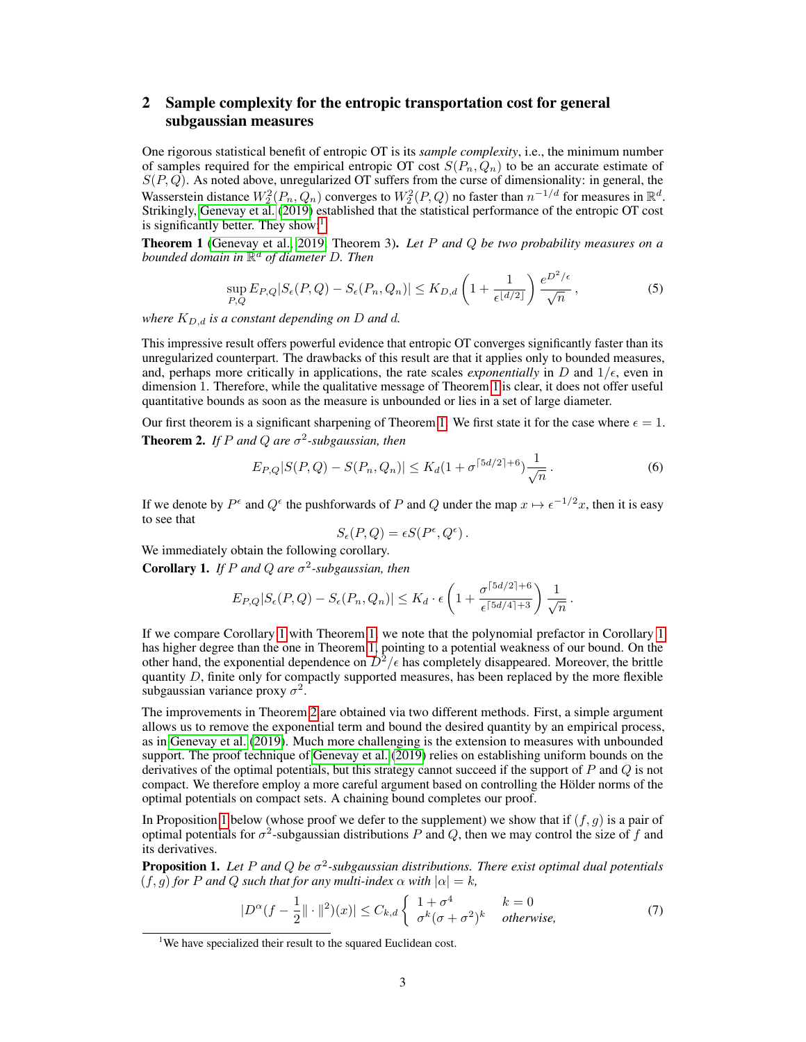# 2 Sample complexity for the entropic transportation cost for general subgaussian measures

One rigorous statistical benefit of entropic OT is its *sample complexity*, i.e., the minimum number of samples required for the empirical entropic OT cost  $S(P_n, Q_n)$  to be an accurate estimate of  $S(P, Q)$ . As noted above, unregularized OT suffers from the curse of dimensionality: in general, the Wasserstein distance  $W_2^2(P_n, Q_n)$  converges to  $W_2^2(P, Q)$  no faster than  $n^{-1/d}$  for measures in  $\mathbb{R}^d$ . Strikingly, Genevay et al. (2019) established that the statistical performance of the entropic OT cost is significantly better. They show: $<sup>1</sup>$ </sup>

Theorem 1 (Genevay et al., 2019, Theorem 3). *Let* P *and* Q *be two probability measures on a bounded domain in* R <sup>d</sup> *of diameter* D*. Then*

$$
\sup_{P,Q} E_{P,Q} |S_{\epsilon}(P,Q) - S_{\epsilon}(P_n, Q_n)| \le K_{D,d} \left( 1 + \frac{1}{\epsilon^{\lfloor d/2 \rfloor}} \right) \frac{e^{D^2/\epsilon}}{\sqrt{n}}, \tag{5}
$$

*where*  $K_{D,d}$  *is a constant depending on*  $D$  *and*  $d$ *.* 

This impressive result offers powerful evidence that entropic OT converges significantly faster than its unregularized counterpart. The drawbacks of this result are that it applies only to bounded measures, and, perhaps more critically in applications, the rate scales *exponentially* in D and  $1/\epsilon$ , even in dimension 1. Therefore, while the qualitative message of Theorem 1 is clear, it does not offer useful quantitative bounds as soon as the measure is unbounded or lies in a set of large diameter.

Our first theorem is a significant sharpening of Theorem 1. We first state it for the case where  $\epsilon = 1$ . **Theorem 2.** If P and Q are  $\sigma^2$ -subgaussian, then

$$
E_{P,Q}|S(P,Q) - S(P_n, Q_n)| \le K_d (1 + \sigma^{5d/2 + 6}) \frac{1}{\sqrt{n}}.
$$
\n(6)

If we denote by  $P^{\epsilon}$  and  $Q^{\epsilon}$  the pushforwards of P and Q under the map  $x \mapsto \epsilon^{-1/2}x$ , then it is easy to see that

$$
S_{\epsilon}(P,Q) = \epsilon S(P^{\epsilon}, Q^{\epsilon}).
$$

We immediately obtain the following corollary.

**Corollary 1.** *If* P and Q are  $\sigma^2$ -subgaussian, then

$$
E_{P,Q}|S_{\epsilon}(P,Q)-S_{\epsilon}(P_n,Q_n)| \leq K_d \cdot \epsilon \left(1+\frac{\sigma^{\lceil 5d/2 \rceil + 6}}{\epsilon^{\lceil 5d/4 \rceil + 3}}\right) \frac{1}{\sqrt{n}}.
$$

If we compare Corollary 1 with Theorem 1, we note that the polynomial prefactor in Corollary 1 has higher degree than the one in Theorem 1, pointing to a potential weakness of our bound. On the other hand, the exponential dependence on  $D^2/\epsilon$  has completely disappeared. Moreover, the brittle quantity  $D$ , finite only for compactly supported measures, has been replaced by the more flexible subgaussian variance proxy  $\sigma^2$ .

The improvements in Theorem 2 are obtained via two different methods. First, a simple argument allows us to remove the exponential term and bound the desired quantity by an empirical process, as in Genevay et al. (2019). Much more challenging is the extension to measures with unbounded support. The proof technique of Genevay et al. (2019) relies on establishing uniform bounds on the derivatives of the optimal potentials, but this strategy cannot succeed if the support of  $P$  and  $Q$  is not compact. We therefore employ a more careful argument based on controlling the Hölder norms of the optimal potentials on compact sets. A chaining bound completes our proof.

In Proposition 1 below (whose proof we defer to the supplement) we show that if  $(f, q)$  is a pair of optimal potentials for  $\sigma^2$ -subgaussian distributions P and Q, then we may control the size of f and its derivatives.

**Proposition 1.** Let P and Q be  $\sigma^2$ -subgaussian distributions. There exist optimal dual potentials  $(f, g)$  *for* P *and* Q *such that for any multi-index*  $\alpha$  *with*  $|\alpha| = k$ ,

$$
|D^{\alpha}(f - \frac{1}{2}||\cdot||^2)(x)| \leq C_{k,d} \begin{cases} 1 + \sigma^4 & k = 0\\ \sigma^k(\sigma + \sigma^2)^k & otherwise, \end{cases}
$$
(7)

<sup>&</sup>lt;sup>1</sup>We have specialized their result to the squared Euclidean cost.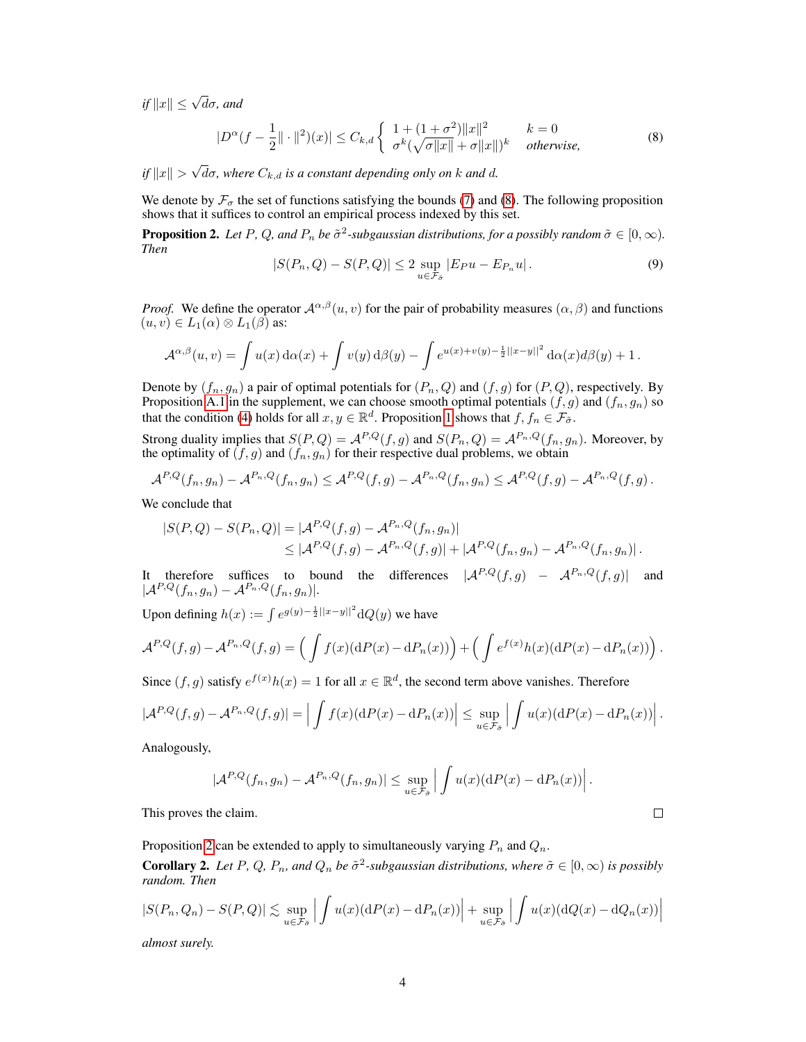$if$   $||x|| \leq \sqrt{d}\sigma$ *, and* 

$$
|D^{\alpha}(f - \frac{1}{2}|| \cdot ||^2)(x)| \le C_{k,d} \begin{cases} 1 + (1 + \sigma^2) ||x||^2 & k = 0\\ \sigma^k(\sqrt{\sigma ||x||} + \sigma ||x||)^k & otherwise, \end{cases}
$$
 (8)

 $if ||x|| >$ √  $d\sigma$ , where  $C_{k,d}$  *is a constant depending only on*  $k$  *and*  $d$ *.* 

We denote by  $\mathcal{F}_{\sigma}$  the set of functions satisfying the bounds (7) and (8). The following proposition shows that it suffices to control an empirical process indexed by this set.

**Proposition 2.** Let P, Q, and  $P_n$  be  $\tilde{\sigma}^2$ -subgaussian distributions, for a possibly random  $\tilde{\sigma} \in [0,\infty)$ . *Then*

$$
|S(P_n, Q) - S(P, Q)| \le 2 \sup_{u \in \mathcal{F}_{\hat{\sigma}}} |E_P u - E_{P_n} u|.
$$
 (9)

*Proof.* We define the operator  $\mathcal{A}^{\alpha,\beta}(u, v)$  for the pair of probability measures  $(\alpha, \beta)$  and functions  $(u, v) \in L_1(\alpha) \otimes L_1(\beta)$  as:

$$
\mathcal{A}^{\alpha,\beta}(u,v) = \int u(x) d\alpha(x) + \int v(y) d\beta(y) - \int e^{u(x)+v(y)-\frac{1}{2}||x-y||^2} d\alpha(x) d\beta(y) + 1.
$$

Denote by  $(f_n, g_n)$  a pair of optimal potentials for  $(P_n, Q)$  and  $(f, g)$  for  $(P, Q)$ , respectively. By Proposition A.1 in the supplement, we can choose smooth optimal potentials  $(f, g)$  and  $(f_n, g_n)$  so that the condition (4) holds for all  $x, y \in \mathbb{R}^d$ . Proposition 1 shows that  $f, f_n \in \mathcal{F}_{\tilde{\sigma}}$ .

Strong duality implies that  $S(P,Q) = A^{P,Q}(f,g)$  and  $S(P_n,Q) = A^{P_n,Q}(f_n,g_n)$ . Moreover, by the optimality of  $(f, g)$  and  $(f_n, g_n)$  for their respective dual problems, we obtain

$$
\mathcal{A}^{P,Q}(f_n,g_n)-\mathcal{A}^{P_n,Q}(f_n,g_n)\leq \mathcal{A}^{P,Q}(f,g)-\mathcal{A}^{P_n,Q}(f_n,g_n)\leq \mathcal{A}^{P,Q}(f,g)-\mathcal{A}^{P_n,Q}(f,g).
$$

We conclude that

$$
|S(P,Q) - S(P_n,Q)| = |\mathcal{A}^{P,Q}(f,g) - \mathcal{A}^{P_n,Q}(f_n,g_n)|
$$
  
\$\leq |\mathcal{A}^{P,Q}(f,g) - \mathcal{A}^{P\_n,Q}(f,g)| + |\mathcal{A}^{P,Q}(f\_n,g\_n) - \mathcal{A}^{P\_n,Q}(f\_n,g\_n)|\$.

It therefore suffices to bound the differences  $|A^{P,Q}(f,g) - A^{P_n,Q}(f,g)|$  and  $|\mathcal{A}^{P,Q}(f_n,g_n)-\mathcal{A}^{P_n,Q}(f_n,g_n)|.$ 

Upon defining  $h(x) := \int e^{g(y) - \frac{1}{2}||x - y||^2} dQ(y)$  we have

$$
\mathcal{A}^{P,Q}(f,g) - \mathcal{A}^{P_n,Q}(f,g) = \left( \int f(x) (\mathrm{d}P(x) - \mathrm{d}P_n(x)) \right) + \left( \int e^{f(x)} h(x) (\mathrm{d}P(x) - \mathrm{d}P_n(x)) \right).
$$

Since  $(f, g)$  satisfy  $e^{f(x)}h(x) = 1$  for all  $x \in \mathbb{R}^d$ , the second term above vanishes. Therefore

$$
|\mathcal{A}^{P,Q}(f,g) - \mathcal{A}^{P_n,Q}(f,g)| = \left| \int f(x) (\mathrm{d}P(x) - \mathrm{d}P_n(x)) \right| \leq \sup_{u \in \mathcal{F}_{\tilde{\sigma}}} \left| \int u(x) (\mathrm{d}P(x) - \mathrm{d}P_n(x)) \right|.
$$

Analogously,

$$
|\mathcal{A}^{P,Q}(f_n,g_n)-\mathcal{A}^{P_n,Q}(f_n,g_n)|\leq \sup_{u\in\mathcal{F}_{\tilde{\sigma}}} \left|\int u(x)(\mathrm{d}P(x)-\mathrm{d}P_n(x))\right|.
$$

This proves the claim.

Proposition 2 can be extended to apply to simultaneously varying  $P_n$  and  $Q_n$ .

**Corollary 2.** Let P, Q,  $P_n$ , and  $Q_n$  be  $\tilde{\sigma}^2$ -subgaussian distributions, where  $\tilde{\sigma} \in [0, \infty)$  is possibly *random. Then*

$$
|S(P_n, Q_n) - S(P, Q)| \lesssim \sup_{u \in \mathcal{F}_{\tilde{\sigma}}} \left| \int u(x) (\mathrm{d}P(x) - \mathrm{d}P_n(x)) \right| + \sup_{u \in \mathcal{F}_{\tilde{\sigma}}} \left| \int u(x) (\mathrm{d}Q(x) - \mathrm{d}Q_n(x)) \right|
$$

*almost surely.*

 $\Box$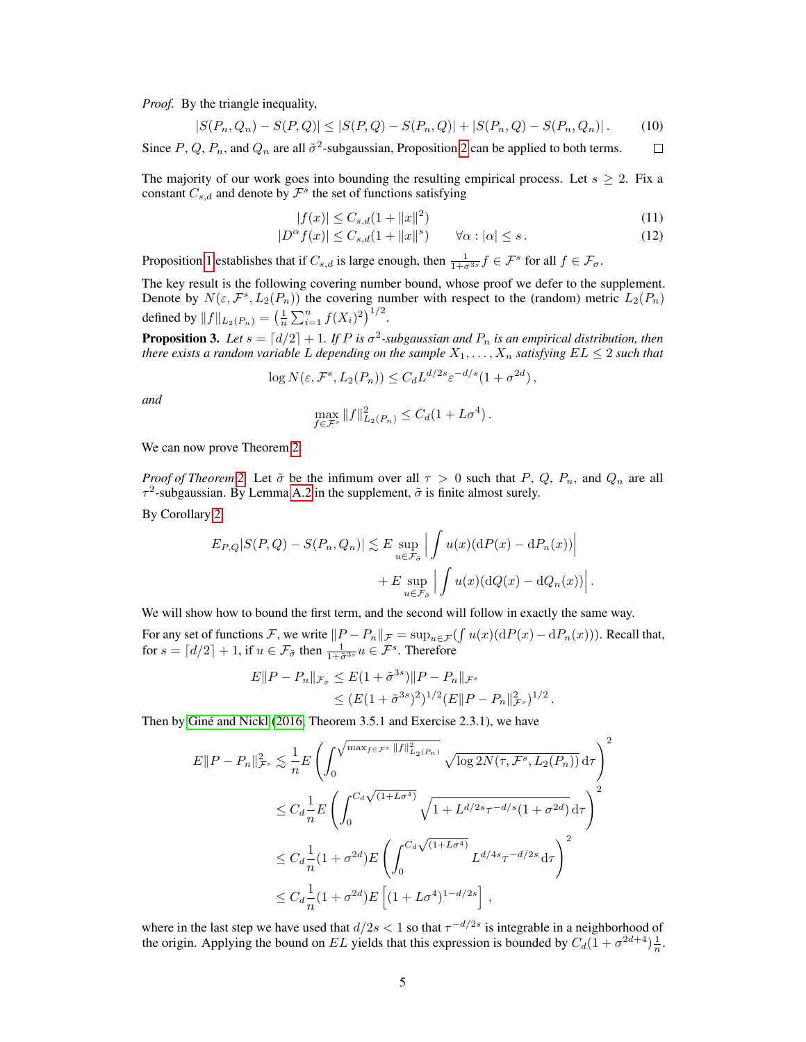*Proof.* By the triangle inequality,

$$
|S(P_n, Q_n) - S(P, Q)| \le |S(P, Q) - S(P_n, Q)| + |S(P_n, Q) - S(P_n, Q_n)|. \tag{10}
$$

Since P, Q,  $P_n$ , and  $Q_n$  are all  $\tilde{\sigma}^2$ -subgaussian, Proposition 2 can be applied to both terms.  $\Box$ 

The majority of our work goes into bounding the resulting empirical process. Let  $s \geq 2$ . Fix a constant  $C_{s,d}$  and denote by  $\mathcal{F}^s$  the set of functions satisfying

$$
|f(x)| \le C_{s,d}(1 + \|x\|^2) \tag{11}
$$

$$
|D^{\alpha} f(x)| \leq C_{s,d}(1 + \|x\|^s) \qquad \forall \alpha : |\alpha| \leq s. \tag{12}
$$

Proposition 1 establishes that if  $C_{s,d}$  is large enough, then  $\frac{1}{1+\sigma^{3s}}f \in \mathcal{F}^s$  for all  $f \in \mathcal{F}_{\sigma}$ .

The key result is the following covering number bound, whose proof we defer to the supplement. Denote by  $N(\varepsilon, \mathcal{F}^s, L_2(P_n))$  the covering number with respect to the (random) metric  $L_2(P_n)$ defined by  $||f||_{L_2(P_n)} = \left(\frac{1}{n} \sum_{i=1}^n f(X_i)^2\right)^{1/2}$ .

**Proposition 3.** Let  $s = \lfloor d/2 \rfloor + 1$ . If P is  $\sigma^2$ -subgaussian and  $P_n$  is an empirical distribution, then *there exists a random variable* L depending on the sample  $X_1, \ldots, X_n$  satisfying  $EL \leq 2$  such that

$$
\log N(\varepsilon, \mathcal{F}^s, L_2(P_n)) \leq C_d L^{d/2s} \varepsilon^{-d/s} (1 + \sigma^{2d}),
$$

*and*

$$
\max_{f \in \mathcal{F}^s} \|f\|_{L_2(P_n)}^2 \leq C_d (1 + L\sigma^4).
$$

We can now prove Theorem 2.

*Proof of Theorem* 2. Let  $\tilde{\sigma}$  be the infimum over all  $\tau > 0$  such that P, Q, P<sub>n</sub>, and Q<sub>n</sub> are all  $\tau^2$ -subgaussian. By Lemma A.2 in the supplement,  $\tilde{\sigma}$  is finite almost surely.

By Corollary 2,

$$
E_{P,Q}|S(P,Q) - S(P_n, Q_n)| \lesssim E \sup_{u \in \mathcal{F}_{\tilde{\sigma}}} \left| \int u(x) (\mathrm{d}P(x) - \mathrm{d}P_n(x)) \right|
$$
  
+ 
$$
E \sup_{u \in \mathcal{F}_{\tilde{\sigma}}} \left| \int u(x) (\mathrm{d}Q(x) - \mathrm{d}Q_n(x)) \right|.
$$

We will show how to bound the first term, and the second will follow in exactly the same way.

For any set of functions F, we write  $||P - P_n||_{\mathcal{F}} = \sup_{u \in \mathcal{F}} (\int u(x) (\mathrm{d}P(x) - \mathrm{d}P_n(x)))$ . Recall that, for  $s = \lfloor d/2 \rfloor + 1$ , if  $u \in \mathcal{F}_{\tilde{\sigma}}$  then  $\frac{1}{1 + \tilde{\sigma}^{3s}} u \in \mathcal{F}^s$ . Therefore

$$
E||P - P_n||_{\mathcal{F}_\sigma} \le E(1 + \tilde{\sigma}^{3s})||P - P_n||_{\mathcal{F}^s}
$$
  
\$\le (E(1 + \tilde{\sigma}^{3s})^2)^{1/2}(E||P - P\_n||\_{\mathcal{F}^s}^2)^{1/2}\$

.

Then by Giné and Nickl (2016, Theorem 3.5.1 and Exercise 2.3.1), we have

$$
E||P - P_n||_{\mathcal{F}^s}^2 \lesssim \frac{1}{n} E\left(\int_0^{\sqrt{\max_{f \in \mathcal{F}^s} ||f||_{L_2(P_n)}^2}} \sqrt{\log 2N(\tau, \mathcal{F}^s, L_2(P_n))} d\tau\right)^2
$$
  

$$
\leq C_d \frac{1}{n} E\left(\int_0^{C_d \sqrt{(1 + L\sigma^4)}} \sqrt{1 + L^{d/2s} \tau^{-d/s} (1 + \sigma^{2d})} d\tau\right)^2
$$
  

$$
\leq C_d \frac{1}{n} (1 + \sigma^{2d}) E\left(\int_0^{C_d \sqrt{(1 + L\sigma^4)}} L^{d/4s} \tau^{-d/2s} d\tau\right)^2
$$
  

$$
\leq C_d \frac{1}{n} (1 + \sigma^{2d}) E\left[(1 + L\sigma^4)^{1 - d/2s}\right],
$$

where in the last step we have used that  $d/2s < 1$  so that  $\tau^{-d/2s}$  is integrable in a neighborhood of the origin. Applying the bound on EL yields that this expression is bounded by  $C_d(1 + \sigma^{2d+4})\frac{1}{n}$ .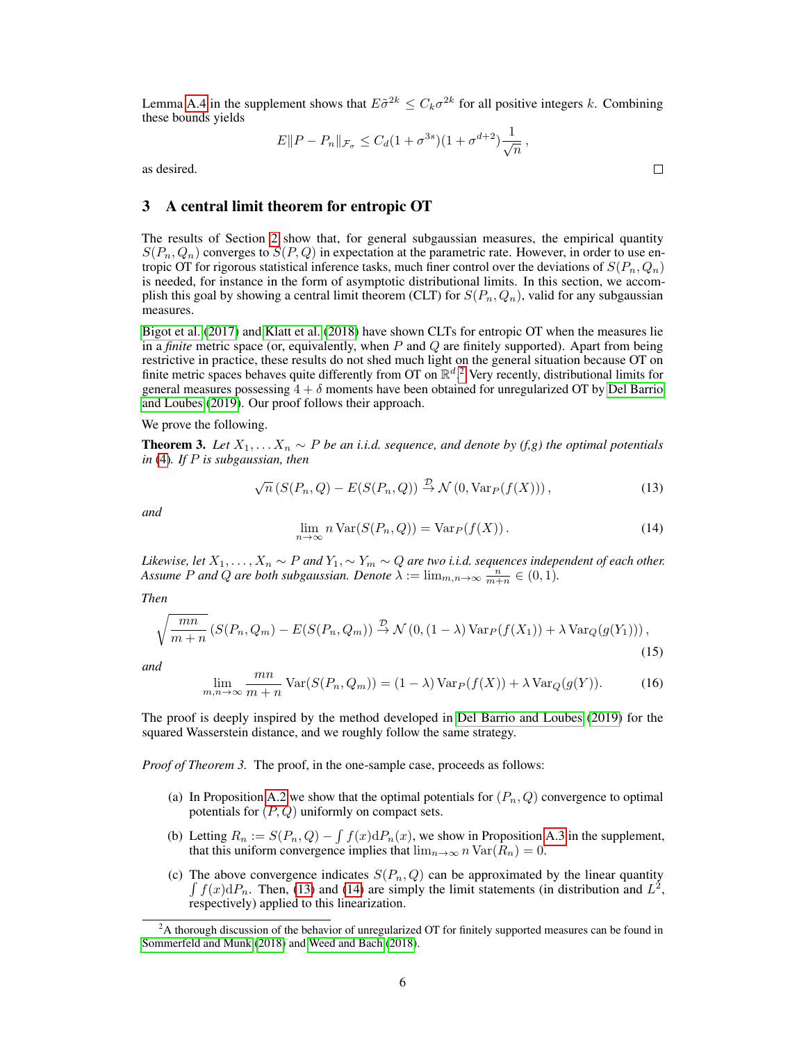Lemma A.4 in the supplement shows that  $E\tilde{\sigma}^{2k} \leq C_k \sigma^{2k}$  for all positive integers k. Combining these bounds yields

$$
E||P - P_n||_{\mathcal{F}_\sigma} \le C_d (1 + \sigma^{3s})(1 + \sigma^{d+2}) \frac{1}{\sqrt{n}},
$$

as desired.

# 3 A central limit theorem for entropic OT

The results of Section 2 show that, for general subgaussian measures, the empirical quantity  $S(P_n, Q_n)$  converges to  $S(P, Q)$  in expectation at the parametric rate. However, in order to use entropic OT for rigorous statistical inference tasks, much finer control over the deviations of  $S(P_n, Q_n)$ is needed, for instance in the form of asymptotic distributional limits. In this section, we accomplish this goal by showing a central limit theorem (CLT) for  $S(P_n, Q_n)$ , valid for any subgaussian measures.

Bigot et al. (2017) and Klatt et al. (2018) have shown CLTs for entropic OT when the measures lie in a *finite* metric space (or, equivalently, when P and Q are finitely supported). Apart from being restrictive in practice, these results do not shed much light on the general situation because OT on finite metric spaces behaves quite differently from OT on  $\mathbb{R}^d$ .<sup>2</sup> Very recently, distributional limits for general measures possessing  $4 + \delta$  moments have been obtained for unregularized OT by Del Barrio and Loubes (2019). Our proof follows their approach.

We prove the following.

**Theorem 3.** *Let*  $X_1, \ldots, X_n$  ∼ *P be an i.i.d. sequence, and denote by (f,g) the optimal potentials in* (4)*. If* P *is subgaussian, then*

$$
\sqrt{n}\left(S(P_n, Q) - E(S(P_n, Q)\right) \stackrel{\mathcal{D}}{\rightarrow} \mathcal{N}\left(0, \text{Var}_P(f(X))\right),\tag{13}
$$

*and*

$$
\lim_{n \to \infty} n \operatorname{Var}(S(P_n, Q)) = \operatorname{Var}_P(f(X)). \tag{14}
$$

*Likewise, let*  $X_1, \ldots, X_n \sim P$  and  $Y_1, \sim Y_m \sim Q$  are two i.i.d. sequences independent of each other. Assume *P* and *Q* are both subgaussian. Denote  $\lambda := \lim_{m,n \to \infty} \frac{n}{m+n} \in (0,1)$ .

*Then*

$$
\sqrt{\frac{mn}{m+n}} \left( S(P_n, Q_m) - E(S(P_n, Q_m)) \stackrel{\mathcal{D}}{\rightarrow} \mathcal{N}\left(0, (1-\lambda)\operatorname{Var}_P(f(X_1)) + \lambda \operatorname{Var}_Q(g(Y_1))\right),\right)
$$
\n(15)

*and*

$$
\lim_{m,n \to \infty} \frac{mn}{m+n} \operatorname{Var}(S(P_n, Q_m)) = (1 - \lambda) \operatorname{Var}_P(f(X)) + \lambda \operatorname{Var}_Q(g(Y)). \tag{16}
$$

The proof is deeply inspired by the method developed in Del Barrio and Loubes (2019) for the squared Wasserstein distance, and we roughly follow the same strategy.

*Proof of Theorem 3.* The proof, in the one-sample case, proceeds as follows:

- (a) In Proposition A.2 we show that the optimal potentials for  $(P_n, Q)$  convergence to optimal potentials for  $(P, Q)$  uniformly on compact sets.
- (b) Letting  $R_n := S(P_n, Q) \int f(x) dP_n(x)$ , we show in Proposition A.3 in the supplement, that this uniform convergence implies that  $\lim_{n\to\infty} n \text{Var}(R_n) = 0$ .
- (c) The above convergence indicates  $S(P_n, Q)$  can be approximated by the linear quantity  $\int f(x) dP_n$ . Then, (13) and (14) are simply the limit statements (in distribution and  $L^2$ , respectively) applied to this linearization.

 $\Box$ 

<sup>&</sup>lt;sup>2</sup>A thorough discussion of the behavior of unregularized OT for finitely supported measures can be found in Sommerfeld and Munk (2018) and Weed and Bach (2018).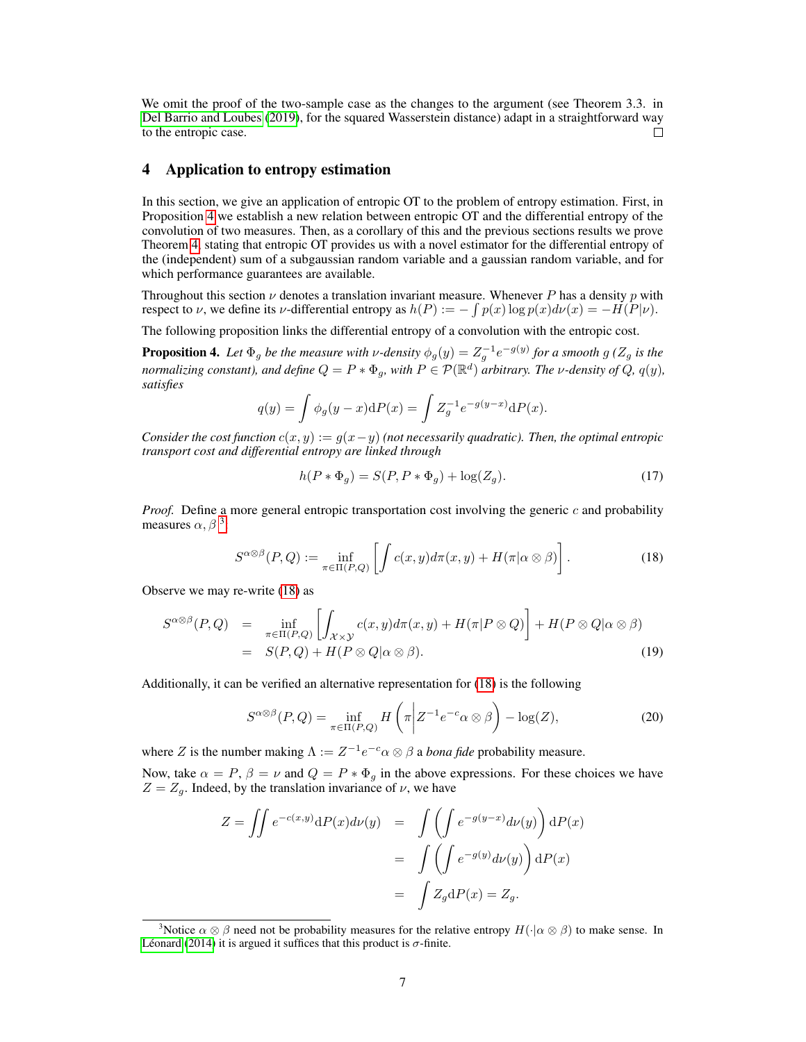We omit the proof of the two-sample case as the changes to the argument (see Theorem 3.3. in Del Barrio and Loubes (2019), for the squared Wasserstein distance) adapt in a straightforward way to the entropic case.  $\Box$ 

## 4 Application to entropy estimation

In this section, we give an application of entropic OT to the problem of entropy estimation. First, in Proposition 4 we establish a new relation between entropic OT and the differential entropy of the convolution of two measures. Then, as a corollary of this and the previous sections results we prove Theorem 4, stating that entropic OT provides us with a novel estimator for the differential entropy of the (independent) sum of a subgaussian random variable and a gaussian random variable, and for which performance guarantees are available.

Throughout this section  $\nu$  denotes a translation invariant measure. Whenever P has a density p with respect to  $\nu$ , we define its  $\nu$ -differential entropy as  $h(P) := -\int p(x) \log p(x) d\nu(x) = -H(P|\nu)$ .

The following proposition links the differential entropy of a convolution with the entropic cost.

**Proposition 4.** Let  $\Phi_g$  be the measure with v-density  $\phi_g(y) = Z_g^{-1}e^{-g(y)}$  for a smooth  $g(Z_g)$  is the *normalizing constant), and define*  $Q = P * \Phi_{g}$ , with  $P \in \mathcal{P}(\mathbb{R}^{d})$  *arbitrary. The v-density of*  $Q$ ,  $q(y)$ , *satisfies*

$$
q(y) = \int \phi_g(y - x) dP(x) = \int Z_g^{-1} e^{-g(y - x)} dP(x).
$$

*Consider the cost function*  $c(x, y) := q(x - y)$  *(not necessarily quadratic). Then, the optimal entropic transport cost and differential entropy are linked through*

$$
h(P * \Phi_g) = S(P, P * \Phi_g) + \log(Z_g). \tag{17}
$$

*Proof.* Define a more general entropic transportation cost involving the generic  $c$  and probability measures  $\alpha$ ,  $\beta$ <sup>3</sup>:

$$
S^{\alpha \otimes \beta}(P,Q) := \inf_{\pi \in \Pi(P,Q)} \left[ \int c(x,y) d\pi(x,y) + H(\pi|\alpha \otimes \beta) \right]. \tag{18}
$$

Observe we may re-write (18) as

$$
S^{\alpha \otimes \beta}(P,Q) = \inf_{\pi \in \Pi(P,Q)} \left[ \int_{\mathcal{X} \times \mathcal{Y}} c(x,y) d\pi(x,y) + H(\pi | P \otimes Q) \right] + H(P \otimes Q | \alpha \otimes \beta)
$$
  
=  $S(P,Q) + H(P \otimes Q | \alpha \otimes \beta).$  (19)

Additionally, it can be verified an alternative representation for (18) is the following

$$
S^{\alpha\otimes\beta}(P,Q) = \inf_{\pi \in \Pi(P,Q)} H\left(\pi \middle| Z^{-1}e^{-c}\alpha \otimes \beta\right) - \log(Z),\tag{20}
$$

where Z is the number making  $\Lambda := Z^{-1} e^{-c} \alpha \otimes \beta$  a *bona fide* probability measure.

Now, take  $\alpha = P$ ,  $\beta = \nu$  and  $Q = P * \Phi_q$  in the above expressions. For these choices we have  $Z = Z<sub>g</sub>$ . Indeed, by the translation invariance of  $\nu$ , we have

$$
Z = \iint e^{-c(x,y)} dP(x) d\nu(y) = \iint \left( \int e^{-g(y-x)} d\nu(y) \right) dP(x)
$$

$$
= \iint \left( \int e^{-g(y)} d\nu(y) \right) dP(x)
$$

$$
= \int Z_g dP(x) = Z_g.
$$

<sup>&</sup>lt;sup>3</sup>Notice  $\alpha \otimes \beta$  need not be probability measures for the relative entropy  $H(\cdot | \alpha \otimes \beta)$  to make sense. In Léonard (2014) it is argued it suffices that this product is  $\sigma$ -finite.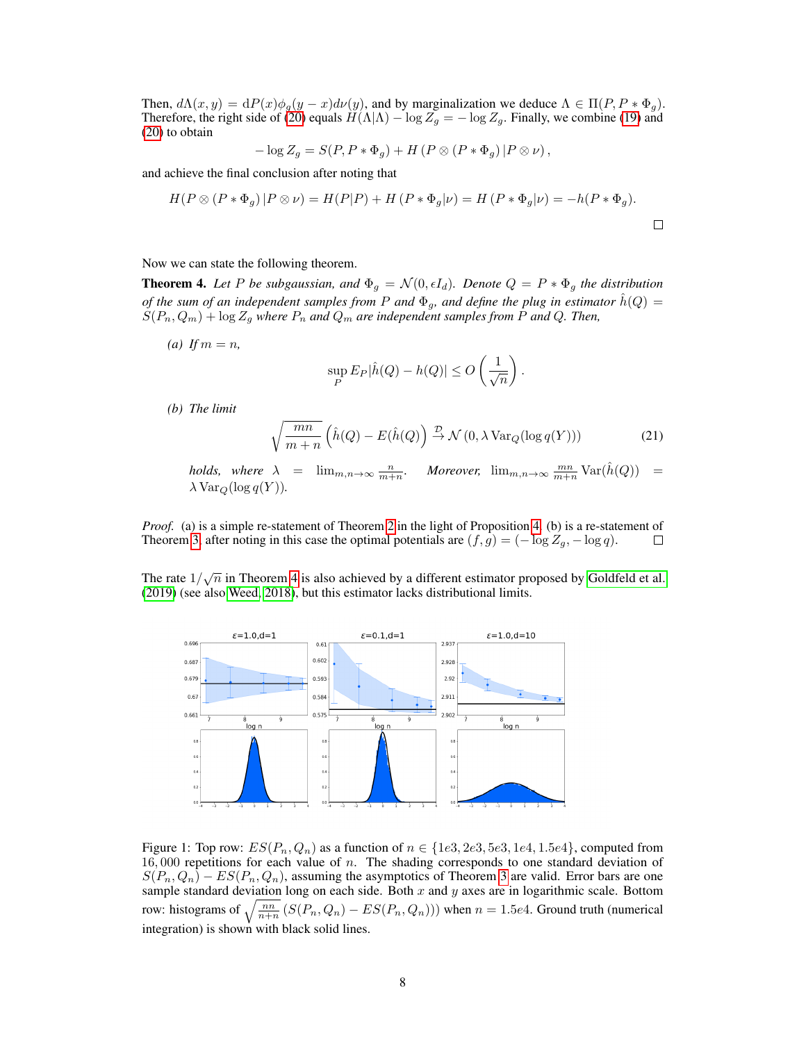Then,  $d\Lambda(x, y) = dP(x)\phi_g(y - x)dv(y)$ , and by marginalization we deduce  $\Lambda \in \Pi(P, P * \Phi_g)$ . Therefore, the right side of (20) equals  $H(\Lambda|\Lambda) - \log Z_q = -\log Z_q$ . Finally, we combine (19) and (20) to obtain

$$
-\log Z_g = S(P, P * \Phi_g) + H (P \otimes (P * \Phi_g) | P \otimes \nu),
$$

and achieve the final conclusion after noting that

$$
H(P \otimes (P * \Phi_g) | P \otimes \nu) = H(P|P) + H(P * \Phi_g | \nu) = H(P * \Phi_g | \nu) = -h(P * \Phi_g).
$$

#### Now we can state the following theorem.

**Theorem 4.** Let P be subgaussian, and  $\Phi_g = \mathcal{N}(0, \epsilon I_d)$ . Denote  $Q = P * \Phi_g$  the distribution *of the sum of an independent samples from P and*  $\Phi_g$ , and define the plug in estimator  $\hat{h}(Q) =$  $S(P_n, Q_m) + \log Z_g$  where  $P_n$  and  $Q_m$  are independent samples from P and Q. Then,

*(a) If*  $m = n$ *,* 

$$
\sup_{P} E_{P} |\hat{h}(Q) - h(Q)| \le O\left(\frac{1}{\sqrt{n}}\right).
$$

*(b) The limit*

$$
\sqrt{\frac{mn}{m+n}} \left(\hat{h}(Q) - E(\hat{h}(Q)) \stackrel{\mathcal{D}}{\rightarrow} \mathcal{N}\left(0, \lambda \operatorname{Var}_Q(\log q(Y))\right) \right) \tag{21}
$$

*holds,* where  $\lambda = \lim_{m,n \to \infty} \frac{n}{m+n}$ . Moreover,  $\lim_{m,n \to \infty} \frac{mn}{m+n} \text{Var}(\hat{h}(Q)) =$  $\lambda$  Var<sub>Q</sub>(log q(Y)).

*Proof.* (a) is a simple re-statement of Theorem 2 in the light of Proposition 4. (b) is a re-statement of Theorem 3, after noting in this case the optimal potentials are  $(f, g) = (-\log Z_g, -\log q)$ .  $\Box$ 

The rate  $1/\sqrt{n}$  in Theorem 4 is also achieved by a different estimator proposed by Goldfeld et al. (2019) (see also Weed, 2018), but this estimator lacks distributional limits.



Figure 1: Top row:  $ES(P_n, Q_n)$  as a function of  $n \in \{1e3, 2e3, 5e3, 1e4, 1.5e4\}$ , computed from  $16,000$  repetitions for each value of n. The shading corresponds to one standard deviation of  $S(P_n, Q_n) - ES(P_n, Q_n)$ , assuming the asymptotics of Theorem 3 are valid. Error bars are one sample standard deviation long on each side. Both  $x$  and  $y$  axes are in logarithmic scale. Bottom row: histograms of  $\sqrt{\frac{nn}{n+n}}$   $(S(P_n, Q_n) - ES(P_n, Q_n)))$  when  $n = 1.5e4$ . Ground truth (numerical integration) is shown with black solid lines.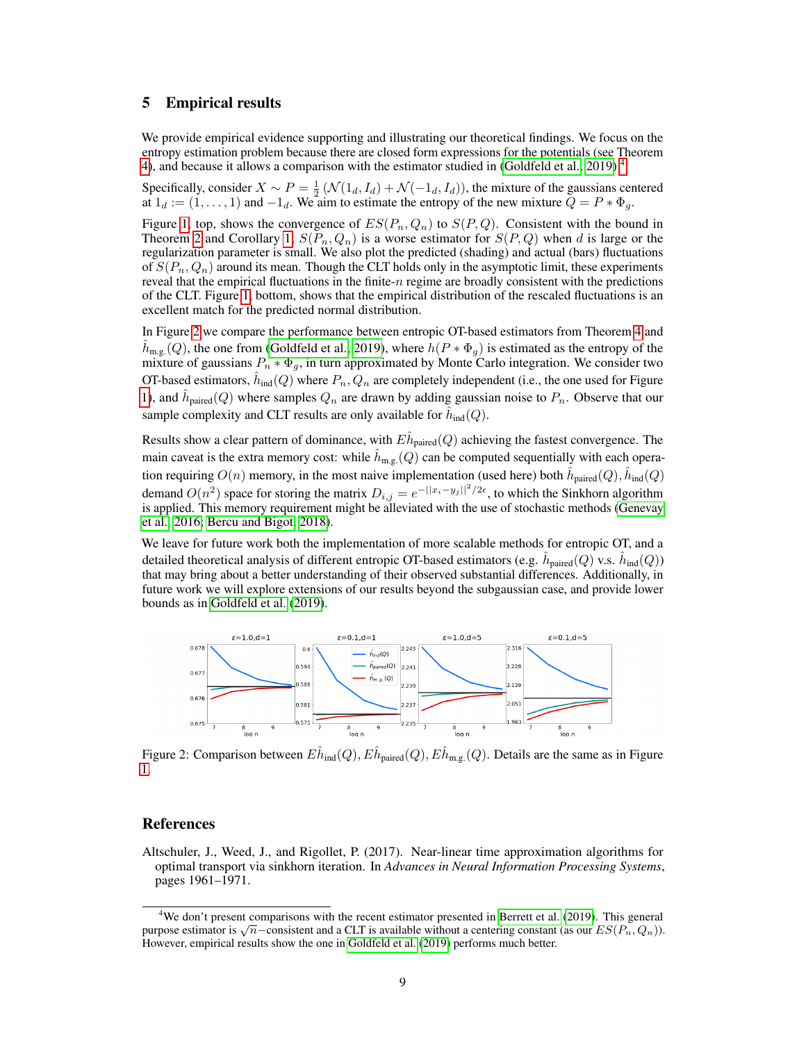### 5 Empirical results

We provide empirical evidence supporting and illustrating our theoretical findings. We focus on the entropy estimation problem because there are closed form expressions for the potentials (see Theorem 4), and because it allows a comparison with the estimator studied in (Goldfeld et al., 2019)<sup>4</sup>.

Specifically, consider  $X \sim P = \frac{1}{2} (\mathcal{N}(1_d, I_d) + \mathcal{N}(-1_d, I_d))$ , the mixture of the gaussians centered at  $1_d := (1, \ldots, 1)$  and  $-1_d$ . We aim to estimate the entropy of the new mixture  $Q = P * \Phi_g$ .

Figure 1, top, shows the convergence of  $ES(P_n, Q_n)$  to  $S(P, Q)$ . Consistent with the bound in Theorem 2 and Corollary 1,  $S(P_n, Q_n)$  is a worse estimator for  $S(P, Q)$  when d is large or the regularization parameter is small. We also plot the predicted (shading) and actual (bars) fluctuations of  $S(P_n, Q_n)$  around its mean. Though the CLT holds only in the asymptotic limit, these experiments reveal that the empirical fluctuations in the finite- $n$  regime are broadly consistent with the predictions of the CLT. Figure 1, bottom, shows that the empirical distribution of the rescaled fluctuations is an excellent match for the predicted normal distribution.

In Figure 2 we compare the performance between entropic OT-based estimators from Theorem 4 and  $\hat{h}_{\text{m.g.}}(Q)$ , the one from (Goldfeld et al., 2019), where  $\hat{h}(P * \Phi_g)$  is estimated as the entropy of the mixture of gaussians  $P_n * \Phi_q$ , in turn approximated by Monte Carlo integration. We consider two OT-based estimators,  $\hat{h}_{\text{ind}}(Q)$  where  $P_n, Q_n$  are completely independent (i.e., the one used for Figure 1), and  $\hat{h}_{\text{paired}}(Q)$  where samples  $Q_n$  are drawn by adding gaussian noise to  $P_n$ . Observe that our sample complexity and CLT results are only available for  $\hat{h}_{\text{ind}}(Q)$ .

Results show a clear pattern of dominance, with  $E \hat{h}_{{\rm paired}}(Q)$  achieving the fastest convergence. The main caveat is the extra memory cost: while  $\hat{h}_{\text{m.g.}}(Q)$  can be computed sequentially with each operation requiring  $O(n)$  memory, in the most naive implementation (used here) both  $\hat{h}_{\mathrm{paired}}(Q), \hat{h}_{\mathrm{ind}}(Q)$ demand  $O(n^2)$  space for storing the matrix  $D_{i,j} = e^{-||x_i - y_j||^2/2\epsilon}$ , to which the Sinkhorn algorithm is applied. This memory requirement might be alleviated with the use of stochastic methods (Genevay et al., 2016; Bercu and Bigot, 2018).

We leave for future work both the implementation of more scalable methods for entropic OT, and a detailed theoretical analysis of different entropic OT-based estimators (e.g.  $\hat{h}_{\rm paired}(Q)$  v.s.  $\hat{h}_{\rm ind}(Q)$ ) that may bring about a better understanding of their observed substantial differences. Additionally, in future work we will explore extensions of our results beyond the subgaussian case, and provide lower bounds as in Goldfeld et al. (2019).



Figure 2: Comparison between  $E\hat{h}_{\text{ind}}(Q), E\hat{h}_{\text{paired}}(Q), E\hat{h}_{\text{m.g.}}(Q)$ . Details are the same as in Figure 1.

## References

Altschuler, J., Weed, J., and Rigollet, P. (2017). Near-linear time approximation algorithms for optimal transport via sinkhorn iteration. In *Advances in Neural Information Processing Systems*, pages 1961–1971.

<sup>&</sup>lt;sup>4</sup>We don't present comparisons with the recent estimator presented in Berrett et al. (2019). This general we don t present comparisons with the recent estimator presented in Berrett et al. (2019). This general purpose estimator is  $\sqrt{n}$  – consistent and a CLT is available without a centering constant (as our  $ES(P_n, Q_n)$ ). However, empirical results show the one in Goldfeld et al. (2019) performs much better.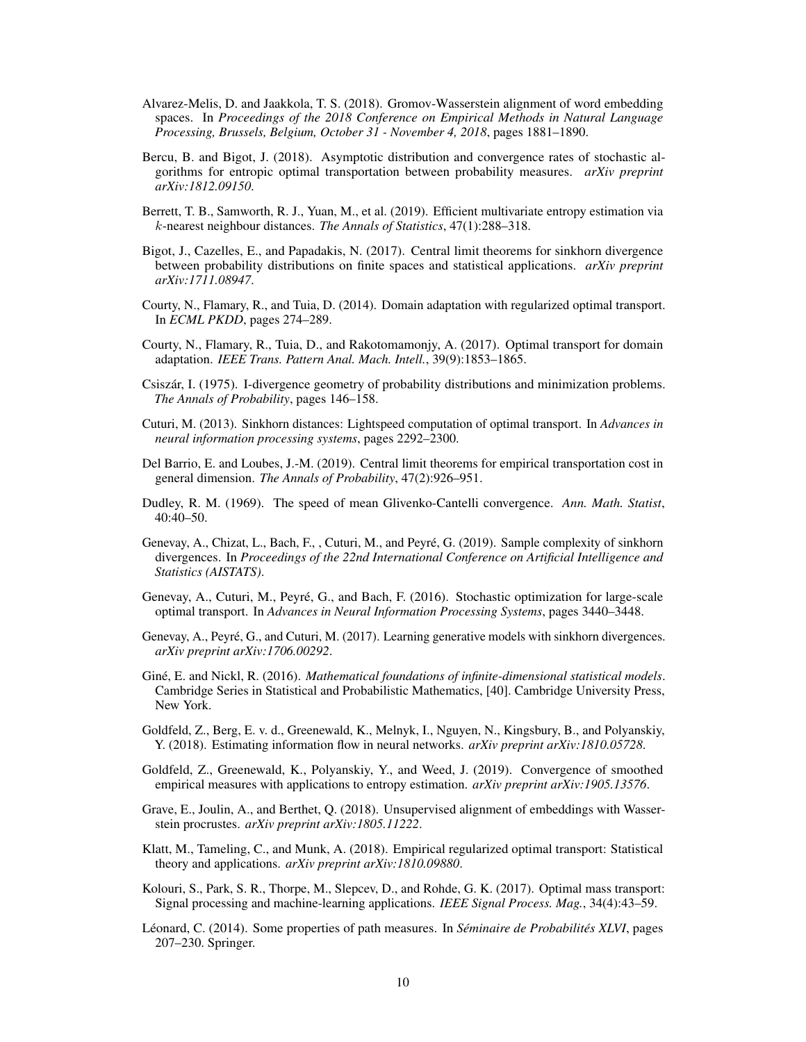- Alvarez-Melis, D. and Jaakkola, T. S. (2018). Gromov-Wasserstein alignment of word embedding spaces. In *Proceedings of the 2018 Conference on Empirical Methods in Natural Language Processing, Brussels, Belgium, October 31 - November 4, 2018*, pages 1881–1890.
- Bercu, B. and Bigot, J. (2018). Asymptotic distribution and convergence rates of stochastic algorithms for entropic optimal transportation between probability measures. *arXiv preprint arXiv:1812.09150*.
- Berrett, T. B., Samworth, R. J., Yuan, M., et al. (2019). Efficient multivariate entropy estimation via k-nearest neighbour distances. *The Annals of Statistics*, 47(1):288–318.
- Bigot, J., Cazelles, E., and Papadakis, N. (2017). Central limit theorems for sinkhorn divergence between probability distributions on finite spaces and statistical applications. *arXiv preprint arXiv:1711.08947*.
- Courty, N., Flamary, R., and Tuia, D. (2014). Domain adaptation with regularized optimal transport. In *ECML PKDD*, pages 274–289.
- Courty, N., Flamary, R., Tuia, D., and Rakotomamonjy, A. (2017). Optimal transport for domain adaptation. *IEEE Trans. Pattern Anal. Mach. Intell.*, 39(9):1853–1865.
- Csiszár, I. (1975). I-divergence geometry of probability distributions and minimization problems. *The Annals of Probability*, pages 146–158.
- Cuturi, M. (2013). Sinkhorn distances: Lightspeed computation of optimal transport. In *Advances in neural information processing systems*, pages 2292–2300.
- Del Barrio, E. and Loubes, J.-M. (2019). Central limit theorems for empirical transportation cost in general dimension. *The Annals of Probability*, 47(2):926–951.
- Dudley, R. M. (1969). The speed of mean Glivenko-Cantelli convergence. *Ann. Math. Statist*, 40:40–50.
- Genevay, A., Chizat, L., Bach, F., , Cuturi, M., and Peyré, G. (2019). Sample complexity of sinkhorn divergences. In *Proceedings of the 22nd International Conference on Artificial Intelligence and Statistics (AISTATS)*.
- Genevay, A., Cuturi, M., Peyré, G., and Bach, F. (2016). Stochastic optimization for large-scale optimal transport. In *Advances in Neural Information Processing Systems*, pages 3440–3448.
- Genevay, A., Peyré, G., and Cuturi, M. (2017). Learning generative models with sinkhorn divergences. *arXiv preprint arXiv:1706.00292*.
- Giné, E. and Nickl, R. (2016). *Mathematical foundations of infinite-dimensional statistical models*. Cambridge Series in Statistical and Probabilistic Mathematics, [40]. Cambridge University Press, New York.
- Goldfeld, Z., Berg, E. v. d., Greenewald, K., Melnyk, I., Nguyen, N., Kingsbury, B., and Polyanskiy, Y. (2018). Estimating information flow in neural networks. *arXiv preprint arXiv:1810.05728*.
- Goldfeld, Z., Greenewald, K., Polyanskiy, Y., and Weed, J. (2019). Convergence of smoothed empirical measures with applications to entropy estimation. *arXiv preprint arXiv:1905.13576*.
- Grave, E., Joulin, A., and Berthet, Q. (2018). Unsupervised alignment of embeddings with Wasserstein procrustes. *arXiv preprint arXiv:1805.11222*.
- Klatt, M., Tameling, C., and Munk, A. (2018). Empirical regularized optimal transport: Statistical theory and applications. *arXiv preprint arXiv:1810.09880*.
- Kolouri, S., Park, S. R., Thorpe, M., Slepcev, D., and Rohde, G. K. (2017). Optimal mass transport: Signal processing and machine-learning applications. *IEEE Signal Process. Mag.*, 34(4):43–59.
- Léonard, C. (2014). Some properties of path measures. In *Séminaire de Probabilités XLVI*, pages 207–230. Springer.